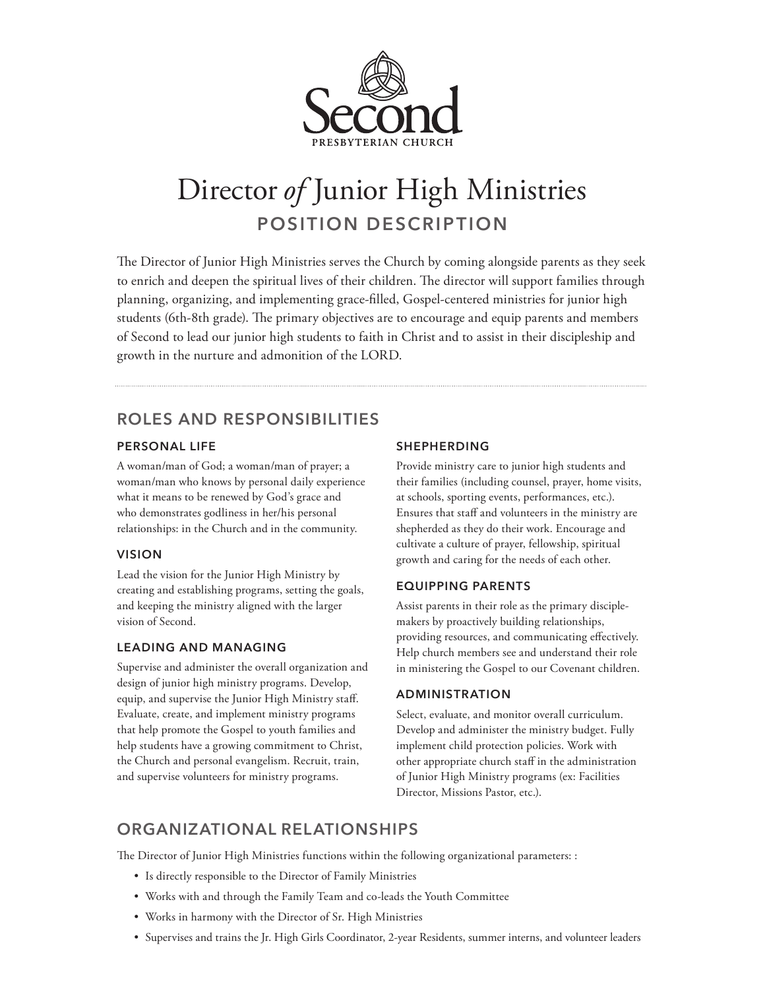

# Director *of* Junior High Ministries **POSITION DESCRIPTION**

The Director of Junior High Ministries serves the Church by coming alongside parents as they seek to enrich and deepen the spiritual lives of their children. The director will support families through planning, organizing, and implementing grace-filled, Gospel-centered ministries for junior high students (6th-8th grade). The primary objectives are to encourage and equip parents and members of Second to lead our junior high students to faith in Christ and to assist in their discipleship and growth in the nurture and admonition of the LORD.

## **ROLES AND RESPONSIBILITIES**

## **PERSONAL LIFE**

A woman/man of God; a woman/man of prayer; a woman/man who knows by personal daily experience what it means to be renewed by God's grace and who demonstrates godliness in her/his personal relationships: in the Church and in the community.

## **VISION**

Lead the vision for the Junior High Ministry by creating and establishing programs, setting the goals, and keeping the ministry aligned with the larger vision of Second.

## **LEADING AND MANAGING**

Supervise and administer the overall organization and design of junior high ministry programs. Develop, equip, and supervise the Junior High Ministry staff. Evaluate, create, and implement ministry programs that help promote the Gospel to youth families and help students have a growing commitment to Christ, the Church and personal evangelism. Recruit, train, and supervise volunteers for ministry programs.

## **SHEPHERDING**

Provide ministry care to junior high students and their families (including counsel, prayer, home visits, at schools, sporting events, performances, etc.). Ensures that staff and volunteers in the ministry are shepherded as they do their work. Encourage and cultivate a culture of prayer, fellowship, spiritual growth and caring for the needs of each other.

## **EQUIPPING PARENTS**

Assist parents in their role as the primary disciplemakers by proactively building relationships, providing resources, and communicating effectively. Help church members see and understand their role in ministering the Gospel to our Covenant children.

## **ADMINISTRATION**

Select, evaluate, and monitor overall curriculum. Develop and administer the ministry budget. Fully implement child protection policies. Work with other appropriate church staff in the administration of Junior High Ministry programs (ex: Facilities Director, Missions Pastor, etc.).

# **ORGANIZATIONAL RELATIONSHIPS**

The Director of Junior High Ministries functions within the following organizational parameters: :

- Is directly responsible to the Director of Family Ministries
- Works with and through the Family Team and co-leads the Youth Committee
- Works in harmony with the Director of Sr. High Ministries
- Supervises and trains the Jr. High Girls Coordinator, 2-year Residents, summer interns, and volunteer leaders